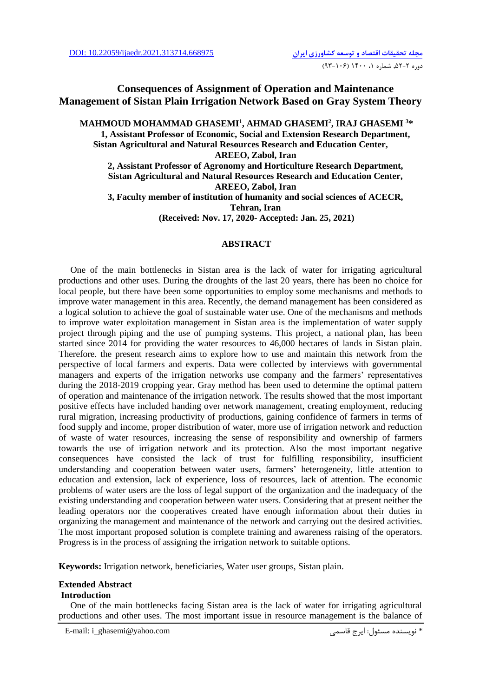## **Consequences of Assignment of Operation and Maintenance Management of Sistan Plain Irrigation Network Based on Gray System Theory**

**MAHMOUD MOHAMMAD GHASEMI<sup>1</sup> , AHMAD GHASEMI<sup>2</sup> , IRAJ GHASEMI <sup>3</sup>\* 1, Assistant Professor of Economic, Social and Extension Research Department, Sistan Agricultural and Natural Resources Research and Education Center, AREEO, Zabol, Iran 2, Assistant Professor of Agronomy and Horticulture Research Department, Sistan Agricultural and Natural Resources Research and Education Center, AREEO, Zabol, Iran 3, Faculty member of institution of humanity and social sciences of ACECR,** 

**Tehran, Iran**

**(Received: Nov. 17, 2020- Accepted: Jan. 25, 2021)**

### **ABSTRACT**

One of the main bottlenecks in Sistan area is the lack of water for irrigating agricultural productions and other uses. During the droughts of the last 20 years, there has been no choice for local people, but there have been some opportunities to employ some mechanisms and methods to improve water management in this area. Recently, the demand management has been considered as a logical solution to achieve the goal of sustainable water use. One of the mechanisms and methods to improve water exploitation management in Sistan area is the implementation of water supply project through piping and the use of pumping systems. This project, a national plan, has been started since 2014 for providing the water resources to 46,000 hectares of lands in Sistan plain. Therefore. the present research aims to explore how to use and maintain this network from the perspective of local farmers and experts. Data were collected by interviews with governmental managers and experts of the irrigation networks use company and the farmers' representatives during the 2018-2019 cropping year. Gray method has been used to determine the optimal pattern of operation and maintenance of the irrigation network. The results showed that the most important positive effects have included handing over network management, creating employment, reducing rural migration, increasing productivity of productions, gaining confidence of farmers in terms of food supply and income, proper distribution of water, more use of irrigation network and reduction of waste of water resources, increasing the sense of responsibility and ownership of farmers towards the use of irrigation network and its protection. Also the most important negative consequences have consisted the lack of trust for fulfilling responsibility, insufficient understanding and cooperation between water users, farmers' heterogeneity, little attention to education and extension, lack of experience, loss of resources, lack of attention. The economic problems of water users are the loss of legal support of the organization and the inadequacy of the existing understanding and cooperation between water users. Considering that at present neither the leading operators nor the cooperatives created have enough information about their duties in organizing the management and maintenance of the network and carrying out the desired activities. The most important proposed solution is complete training and awareness raising of the operators. Progress is in the process of assigning the irrigation network to suitable options.

**Keywords:** Irrigation network, beneficiaries, Water user groups, Sistan plain.

### **Extended Abstract**

### **Introduction**

One of the main bottlenecks facing Sistan area is the lack of water for irrigating agricultural productions and other uses. The most important issue in resource management is the balance of

E-mail: i\_ghasemi@yahoo.com قاسمی ايرج :مسئول نويسنده\*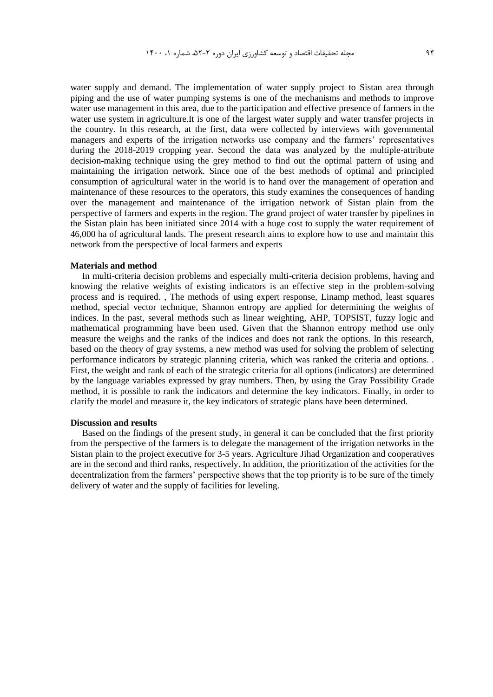water supply and demand. The implementation of water supply project to Sistan area through piping and the use of water pumping systems is one of the mechanisms and methods to improve water use management in this area, due to the participation and effective presence of farmers in the water use system in agriculture.It is one of the largest water supply and water transfer projects in the country. In this research, at the first, data were collected by interviews with governmental managers and experts of the irrigation networks use company and the farmers' representatives during the 2018-2019 cropping year. Second the data was analyzed by the multiple-attribute decision-making technique using the grey method to find out the optimal pattern of using and maintaining the irrigation network. Since one of the best methods of optimal and principled consumption of agricultural water in the world is to hand over the management of operation and maintenance of these resources to the operators, this study examines the consequences of handing over the management and maintenance of the irrigation network of Sistan plain from the perspective of farmers and experts in the region. The grand project of water transfer by pipelines in the Sistan plain has been initiated since 2014 with a huge cost to supply the water requirement of 46,000 ha of agricultural lands. The present research aims to explore how to use and maintain this network from the perspective of local farmers and experts

#### **Materials and method**

In multi-criteria decision problems and especially multi-criteria decision problems, having and knowing the relative weights of existing indicators is an effective step in the problem-solving process and is required. , The methods of using expert response, Linamp method, least squares method, special vector technique, Shannon entropy are applied for determining the weights of indices. In the past, several methods such as linear weighting, AHP, TOPSIST, fuzzy logic and mathematical programming have been used. Given that the Shannon entropy method use only measure the weighs and the ranks of the indices and does not rank the options. In this research, based on the theory of gray systems, a new method was used for solving the problem of selecting performance indicators by strategic planning criteria, which was ranked the criteria and options. . First, the weight and rank of each of the strategic criteria for all options (indicators) are determined by the language variables expressed by gray numbers. Then, by using the Gray Possibility Grade method, it is possible to rank the indicators and determine the key indicators. Finally, in order to clarify the model and measure it, the key indicators of strategic plans have been determined.

### **Discussion and results**

Based on the findings of the present study, in general it can be concluded that the first priority from the perspective of the farmers is to delegate the management of the irrigation networks in the Sistan plain to the project executive for 3-5 years. Agriculture Jihad Organization and cooperatives are in the second and third ranks, respectively. In addition, the prioritization of the activities for the decentralization from the farmers' perspective shows that the top priority is to be sure of the timely delivery of water and the supply of facilities for leveling.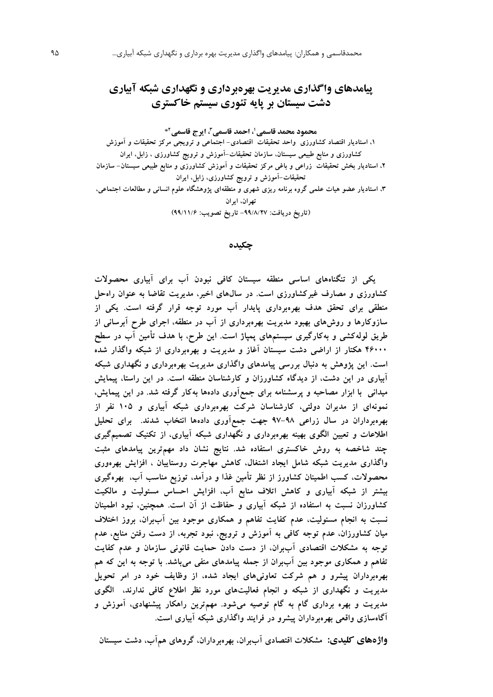# **پيامدهای واگذاری مديريت بهرهبرداری و نگهداری شبکه آبياری دشت سيستان بر پايه تئوری سيستم خاکستری**

**، ايرج قاسمی ،<sup>1</sup> احمد قاسمی<sup>3</sup> محمود محمد قاسمی 2** \*

**،1 استاديار اقتصاد کشاورزي واحد تحقیقات اقتصادي- اجتماعی و ترويجی مرکز تحقیقات و آموزش کشاورزي و منابع طبیعی سیستان، سازمان تحقیقات-آموزش و ترويج کشاورزي ، زابل، ايران ،2 استاديار بخش تحقیقات زراعی و باغی مرکز تحقیقات و آموزش کشاورزي و منابع طبیعی سیستان- سازمان تحقیقات-آموزش و ترويج کشاورزي، زابل، ايران ،3 استاديار عضو هیات علمی گروه برنامه ريزي شهري و منطقهاي پژوهشگاه علوم انسانی و مطالعات اجتماعی، تهران، ايران )تاريخ دريافت: -99/8/27 تاريخ تصويب: 99/11/6(**

**چکيده**

**يکی از تنگناههاي اساسی منطقه سیستان کافی نبودن آب براي آبیاري محصوالت کشاورزي و مصارف غیرکشاورزي است. در سالهاي اخیر، مديريت تقاضا به عنوان راهحل منطقی براي تحقق هدف بهرهبرداري پايدار آب مورد توجه قرار گرفته است. يکی از سازوکارها و روشهاي بهبود مديريت بهرهبرداري از آب در منطقه، اجراي طرح آبرسانی از طريق لولهکشی و بهکارگیري سیستمهاي پمپاژ است. اين طرح، با هدف تأمین آب در سطح 46000 هکتار از اراضی دشت سیستان آغاز و مديريت و بهرهبرداري از شبکه واگذار شده است. اين پژوهش به دنبال بررسی پیامدهاي واگذاري مديريت بهرهبرداري و نگهداري شبکه آبیاري در اين دشت، از ديدگاه کشاورزان و کارشناسان منطقه است. در اين راستا، پیمايش میدانی با ابزار مصاحبه و پرسشنامه براي جمعآوري دادهها بهکار گرفته شد. در اين پیمايش، نمونهاي از مديران دولتی، کارشناسان شرکت بهرهبرداري شبکه آبیاري و 105 نفر از بهرهبرداران در سال زراعی 97-98 جهت جمعآوري دادهها انتخاب شدند. براي تحلیل اطالعات و تعیین الگوي بهینه بهرهبرداري و نگهداري شبکه آبیاري، از تکنیک تصمیمگیري چند شاخصه به روش خاکستري استفاده شد. نتايج نشان داد مهمترين پیامدهاي مثبت واگذاري مديريت شبکه شامل ايجاد اشتغال، کاهش مهاجرت روستايیان ، افزايش بهرهوري محصوالت، کسب اطمینان کشاورز از نظر تأمین غذا و درآمد، توزيع مناسب آب، بهرهگیري بیشتر از شبکه آبیاري و کاهش اتالف منابع آب، افزايش احساس مسئولیت و مالکیت کشاورزان نسبت به استفاده از شبکه آبیاري و حفاظت از آن است. همچنین، نبود اطمینان نسبت به انجام مسئولیت، عدم کفايت تفاهم و همکاري موجود بین آببران، بروز اختالف میان کشاورزان، عدم توجه کافی به آموزش و ترويج، نبود تجربه، از دست رفتن منابع، عدم توجه به مشکالت اقتصادي آببران، از دست دادن حمايت قانونی سازمان و عدم کفايت تفاهم و همکاري موجود بین آببران از جمله پیامدهاي منفی میباشد. با توجه به اين که هم بهرهبرداران پیشرو و هم شرکت تعاونیهاي ايجاد شده، از وظايف خود در امر تحويل مديريت و نگهداري از شبکه و انجام فعالیتهاي مورد نظر اطالع کافی ندارند، الگوي مديريت و بهره برداري گام به گام توصیه میشود. مهمترين راهکار پیشنهادي، آموزش و آگاهسازي واقعی بهرهبرداران پیشرو در فرايند واگذاري شبکه آبیاري است.**

**واژههای کليدی: مشکالت اقتصادي آببران، بهرهبرداران، گروهاي همآب، دشت سیستان**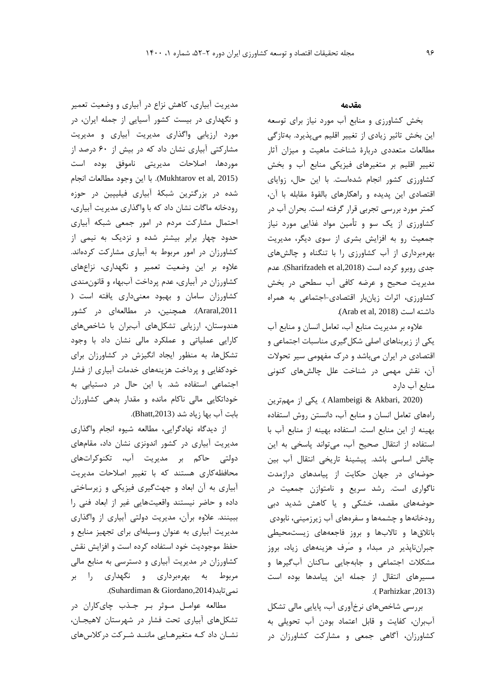مديريت آبياري، کاهش نزاع در آبياري و وضعيت تعمير و نگهداري در بيست کشور آسيايی از جمله ايران، در مورد ارزيابی واگذاري مديريت آبياري و مديريت مشارکتی آبياري نشان داد که در بيش از 60 درصد از موردها، اصالحات مديريتی ناموفق بوده است )2015 ,al et Mukhtarov). با اين وجود مطالعات انجام شده در بزرگترين شبکۀ آبياري فيليپين در حوزه رودخانه ماگات نشان داد که با واگذاري مديريت آبياري، احتمال مشارکت مردم در امور جمعی شبکه آبياري حدود چهار برابر بيشتر شده و نزديک به نيمی از کشاورزان در امور مربوط به آبياري مشارکت کردهاند. عالوه بر اين وضعيت تعمير و نگهداري، نزاعهاي کشاورزان در آبياري، عدم پرداخت آببهاء و قانونمندي کشاورزان سامان و بهبود معنیداري يافته است ) ,2011Araral). همچنين، در مطالعهاي در کشور هندوستان، ارزيابی تشکلهاي آببران با شاخصهاي کارايی عملياتی و عملکرد مالی نشان داد با وجود تشکلها، به منظور ايجاد انگيزش در کشاورزان براي خودکفايی و پرداخت هزينههاي خدمات آبياري از فشار اجتماعی استفاده شد. با اين حال در دستيابی به خوداتکايی مالی ناکام مانده و مقدار بدهی کشاورزان بابت آب بها زياد شد (Bhatt,2013).

از ديدگاه نهادگرايی، مطالعه شيوه انجام واگذاري مديريت آبياري در کشور اندونزي نشان داد، مقامهاي دولتی حاکم بر مديريت آب، تکنوکراتهاي محافظهکاري هستند که با تغيير اصالحات مديريت آبياري به آن ابعاد و جهتگيري فيزيکی و زيرساختی داده و حاضر نيستند واقعيتهايی غير از ابعاد فنی را ببينند. عالوه برآن، مديريت دولتی آبياري از واگذاري مديريت آبياري به عنوان وسيلهاي براي تجهيز منابع و حفظ موجوديت خود استفاده کرده است و افزايش نقش کشاورزان در مديريت آبياري و دسترسی به منابع مالی مربوط به بهرهبرداري و نگهداري را بر .)Suhardiman & Giordano,2014(نمیتابد

مطالعه عوامـل مـوثر بـر جـذب چايکاران در تشکلهاي آبياري تحت فشار در شهرستان الهيجـان، نشـان داد کـه متغيرهـايی ماننـد شـرکت درکالسهاي

### **مقدمه**

بخش کشاورزي و منابع آب مورد نياز براي توسعه اين بخش تاثير زيادي از تغيير اقليم میپذيرد. بهتازگی مطالعات متعددي دربارة شناخت ماهيت و ميزان آثار تغيير اقليم بر متغيرهاي فيزيکی منابع آب و بخش کشاورزي کشور انجام شدهاست. با اين حال، زواياي اقتصادي اين پديده و راهکارهاي بالقوة مقابله با آن، کمتر مورد بررسی تجربی قرار گرفته است. بحران آب در کشاورزي از يک سو و تأمين مواد غذايی مورد نياز جمعيت رو به افزايش بشري از سوي ديگر، مديريت بهرهبرداري از آب کشاورزي را با تنگناه و چالشهاي جدي روبرو کرده است ),2018al et Sharifzadeh). عدم مديريت صحيح و عرضه کافی آب سطحی در بخش کشاورزي، اثرات زيانبار اقتصادي-اجتماعی به همراه .(Arab et al, 2018) است داشته

عالوه بر مديريت منابع آب، تعامل انسان و منابع آب يکی از زيربناهاي اصلی شکلگيري مناسبات اجتماعی و اقتصادي در ايران میباشد و درک مفهومی سير تحوالت آن، نقش مهمی در شناخت علل چالشهاي کنونی منابع آب دارد

(2020 ,Akbari & Alambeigi) . يکی از مهمترين راههاي تعامل انسان و منابع آب، دانستن روش استفاده بهينه از اين منابع است. استفاده بهينه از منابع آب با استفاده از انتقال صحيح آب، میتواند پاسخی به اين چالش اساسی باشد. پيشينۀ تاريخی انتقال آب بين حوضهاي در جهان حکايت از پيامدهاي درازمدت ناگواري است. رشد سريع و نامتوازن جمعيت در حوضههاي مقصد، خشکی و يا کاهش شديد دبی رودخانهها و چشمهها و سفرههاي آب زيرزمينی، نابودي باتالقها و تاالبها و بروز فاجعههاي زيستمحيطی جبرانناپذير در مبداء و صَرف هزينههاي زياد، بروز مشکالت اجتماعی و جابهجايی ساکنان آبگيرها و مسيرهاي انتقال از جمله اين پيامدها بوده است .(Parhizkar ,2013)

بررسی شاخصهاي نرخآوري آب، پايايی مالی تشکل آببران، کفايت و قابل اعتماد بودن آب تحويلی به کشاورزان، آگاهی جمعی و مشارکت کشاورزان در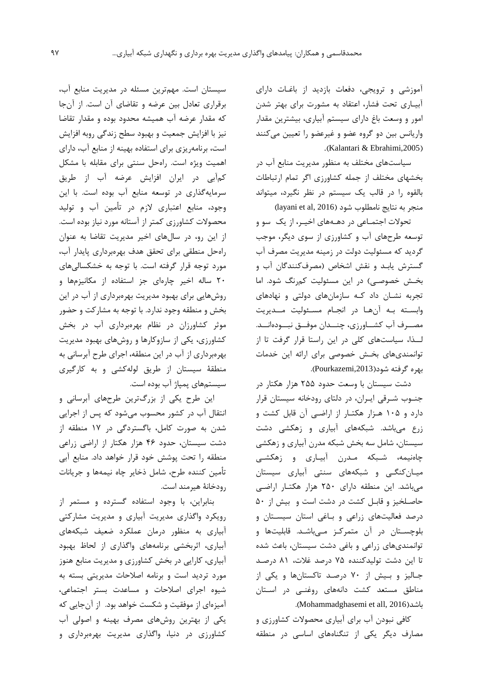آموزشی و ترويجی، دفعات بازديد از باغـات داراي آبيـاري تحت فشار، اعتقاد به مشورت براي بهتر شدن امور و وسعت باغ داراي سيستم آبياري، بيشترين مقدار واريانس بين دو گروه عضو و غيرعضو را تعيين میکنند .(Kalantari & Ebrahimi,2005)

سياستهاي مختلف به منظور مديريت منابع آب در بخشهاي مختلف از جمله کشاورزي اگر تمام ارتباطات بالقوه را در قالب يک سيستم در نظر نگيرد، ميتواند  $\alpha$ layani et al, 2016) منجر به نتايج نامطلوب شود

تحوالت اجتمـاعی در دهـههاي اخيـر، از يک سو و توسعه طرحهاي آب و کشاورزي از سوي ديگر، موجب گرديد که مسئوليت دولت در زمينه مديريت مصرف آب گسترش يابـد و نقش اشخاص )مصرفکنندگان آب و بخـش خصوصـی) در اين مسئوليت کمرنگ شود. اما تجربه نشـان داد کـه سازمانهاي دولتی و نهادهاي وابسـته بـه آنهـا در انجـام مسـئوليت مــديريت مصــرف آب کشــاورزي، چنــدان موفــق نبــودهانــد. لــذا، سياستهاي کلی در اين راستا قرار گرفت تا از توانمنديهاي بخـش خصوصی براي ارائه اين خدمات بهره گرفته شود),2013Pourkazemi).

دشت سيستان با وسعت حدود 255 هزار هکتار در جنـوب شـرقی ايـران، در دلتاي رودخانه سيستان قرار دارد و 105 هـزار هکتـار از اراضـی آن قابل کشت و زرع میباشد. شبکههاي آبياري و زهکشی دشت سيستان، شامل سه بخش شبکه مدرن آبياري و زهکشی چاهنيمه، شـبکه مـدرن آبيـاري و زهکشـی ميـانکنگـی و شبکههاي سنتی آبياري سيستان میباشد. اين منطقه داراي 250 هزار هکتـار اراضـی حاصـلخيز و قابـل کشت در دشت است و بيش از 50 درصد فعاليتهاي زراعی و بـاغی استان سيسـتان و بلوچسـتان در آن متمرکـز مـیباشـد. قابليتها و توانمنديهاي زراعی و باغی دشت سيستان، باعث شده تا اين دشت توليدکننده 75 درصد غالت، 81 درصـد جـاليز و بـيش از 70 درصـد تاکستانها و يکی از مناطق مستعد کشت دانههاي روغنـی در اسـتان .)Mohammadghasemi et all, 2016(باشد

کافی نبودن آب براي آبياري محصوالت کشاورزي و مصارف ديگر يکی از تنگناههاي اساسی در منطقه

سيستان است. مهمترين مسئله در مديريت منابع آب، برقراري تعادل بين عرضه و تقاضاي آن است. از آنجا که مقدار عرضه آب هميشه محدود بوده و مقدار تقاضا نيز با افزايش جمعيت و بهبود سطح زندگی روبه افزايش است، برنامهريزي براي استفاده بهينه از منابع آب، داراي اهميت ويژه است. راهحل سنتی براي مقابله با مشکل کمآبی در ايران افزايش عرضه آب از طريق سرمايهگذاري در توسعه منابع آب بوده است. با اين وجود، منابع اعتباري الزم در تأمين آب و توليد محصوالت کشاورزي کمتر از آستانه مورد نياز بوده است. از اين رو، در سالهاي اخير مديريت تقاضا به عنوان راهحل منطقی براي تحقق هدف بهرهبرداري پايدار آب، مورد توجه قرار گرفته است. با توجه به خشکسالیهاي 20 ساله اخير چارهاي جز استفاده از مکانيزمها و روشهايی براي بهبود مديريت بهرهبرداري از آب در اين بخش و منطقه وجود ندارد. با توجه به مشارکت و حضور موثر کشاورزان در نظام بهرهبرداري آب در بخش کشاورزي، يکی از سازوکارها و روشهاي بهبود مديريت بهرهبرداري از آب در اين منطقه، اجراي طرح آبرسانی به منطقۀ سيستان از طريق لولهکشی و به کارگيري سيستمهاي پمپاژ آب بوده است.

اين طرح يکی از بزرگترين طرحهاي آبرسانی و انتقال آب در کشور محسوب میشود که پس از اجرايی شدن به صورت کامل، باگستردگی در 17 منطقه از دشت سيستان، حدود 46 هزار هکتار از اراضی زراعی منطقه را تحت پوشش خود قرار خواهد داد. منابع آبی تأمين کننده طرح، شامل ذخاير چاه نيمهها و جريانات رودخانۀ هيرمند است.

بنابراين، با وجود استفاده گسترده و مستمر از رويکرد واگذاري مديريت آبياري و مديريت مشارکتی آبياري به منظور درمان عملکرد ضعيف شبکههاي آبياري، اثربخشی برنامههاي واگذاري از لحاظ بهبود آبياري، کارايی در بخش کشاورزي و مديريت منابع هنوز مورد ترديد است و برنامه اصالحات مديريتی بسته به شيوه اجراي اصالحات و مساعدت بستر اجتماعی، آميزهاي از موفقيت و شکست خواهد بود. از آنجايی که يکی از بهترين روشهاي مصرف بهينه و اصولی آب کشاورزي در دنيا، واگذاري مديريت بهرهبرداري و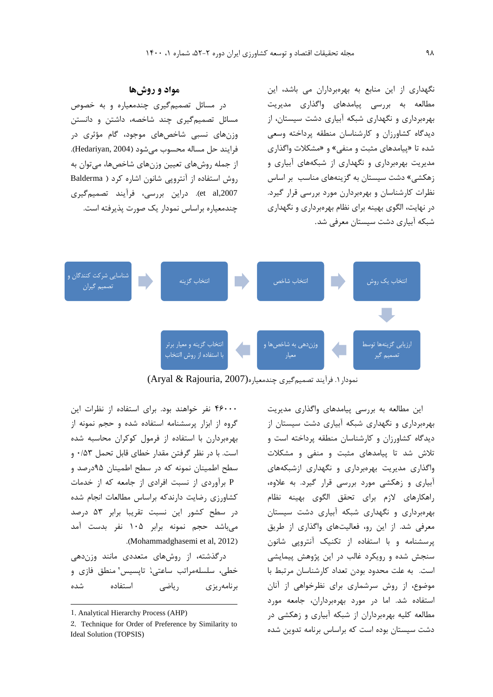نگهداري از اين منابع به بهرهبرداران می باشد، اين مطالعه به بررسی پيامدهاي واگذاري مديريت بهرهبرداري و نگهداري شبکه آبياري دشت سيستان، از ديدگاه کشاورزان و کارشناسان منطقه پرداخته وسعی شده تا »پيامدهاي مثبت و منفی« و »مشکالت واگذاري مديريت بهرهبرداري و نگهداري از شبکههاي آبياري و زهکشی» دشت سیستان به گزینههای مناسب بر اساس نظرات کارشناسان و بهرهبردارن مورد بررسی قرار گيرد. در نهايت، الگوي بهينه براي نظام بهرهبرداري و نگهداري شبکه آبياري دشت سيستان معرفی شد.

## **مواد و روشها**

در مسائل تصميمگيري چندمعياره و به خصوص مسائل تصميمگيري چند شاخصه، داشتن و دانستن وزنهاي نسبی شاخصهاي موجود، گام مؤثري در فرايند حل مساله محسوب میشود )2004 ,Hedariyan). از جمله روشهاي تعيين وزنهاي شاخصها، میتوان به روش استفاده از آنتروپی شانون اشاره کرد ) Balderma ,2007al et). دراين بررسی، فرآيند تصميمگيري چندمعياره براساس نمودار يک صورت پذيرفته است.



نمودار ۱. فرآيند تصميم گيري چندمعياره(2007 ), Aryal & Rajouria

46000 نفر خواهند بود. براي استفاده از نظرات اين گروه از ابزار پرسشنامه استفاده شده و حجم نمونه از بهرهبردارن با استفاده از فرمول کوکران محاسبه شده است. با در نظر گرفتن مقدار خطاي قابل تحمل 0/53 و سطح اطمينان نمونه که در سطح اطمينان 95درصد و P برآوردي از نسبت افرادي از جامعه که از خدمات کشاورزي رضايت دارندکه براساس مطالعات انجام شده در سطح کشور اين نسبت تقريبا برابر 53 درصد میباشد حجم نمونه برابر 105 نفر بدست آمد .(Mohammadghasemi et al, 2012)

درگذشته، از روشهاي متعددي مانند وزندهی خطی، سلسلهمراتب ساعتی، تاپسیس' منطق فازی و برنامهريزي رياضی استفاده شده

 $\overline{a}$ 

اين مطالعه به بررسی پيامدهاي واگذاري مديريت بهرهبرداري و نگهداري شبکه آبياري دشت سيستان از ديدگاه کشاورزان و کارشناسان منطقه پرداخته است و تالش شد تا پيامدهاي مثبت و منفی و مشکالت واگذاري مديريت بهرهبرداري و نگهداري ازشبکههاي آبياري و زهکشی مورد بررسی قرار گيرد. به عالوه، راهکارهاي الزم براي تحقق الگوي بهينه نظام بهرهبرداري و نگهداري شبکه آبياري دشت سيستان معرفی شد. از اين رو، فعاليتهاي واگذاري از طريق پرسشنامه و با استفاده از تکنيک آنتروپی شانون سنجش شده و رويکرد غالب در اين پژوهش پيمايشی است. به علت محدود بودن تعداد کارشناسان مرتبط با موضوع، از روش سرشماري براي نظرخواهی از آنان استفاده شد. اما در مورد بهرهبرداران، جامعه مورد مطالعه کليه بهرهبرداران از شبکه آبياري و زهکشی در دشت سيستان بوده است که براساس برنامه تدوين شده

<sup>1</sup>. Analytical Hierarchy Process (AHP)

<sup>2</sup>. Technique for Order of Preference by Similarity to Ideal Solution (TOPSIS)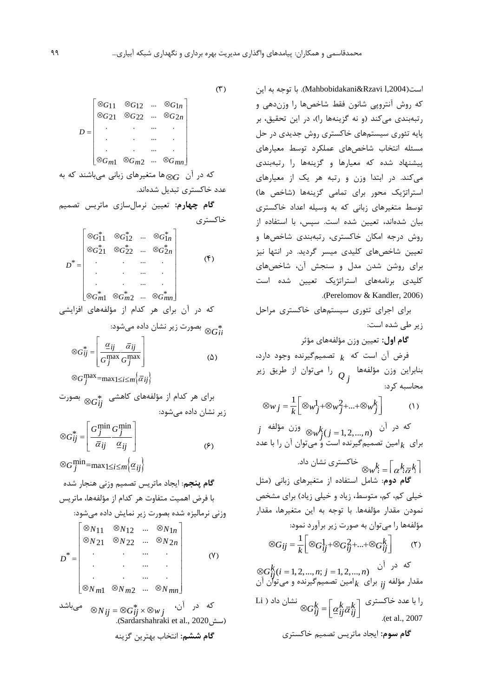است),2004l Rzavi&Mahbobidakani). با توجه به اين که روش آنتروپی شانون فقط شاخصها را وزندهی و رتبهبندي میکند (و نه گزينهها را)، در اين تحقيق، بر پايه تئوري سيستمهاي خاکستري روش جديدي در حل مسئله انتخاب شاخصهاي عملکرد توسط معيارهاي پيشنهاد شده که معيارها و گزينهها را رتبهبندي میکند. در ابتدا وزن و رتبه هر يک از معيارهاي استراتژيک محور برای تمامی گزينهها (شاخص ها) توسط متغيرهاي زبانی که به وسيله اعداد خاکستري بيان شدهاند، تعيين شده است. سپس، با استفاده از روش درجه امکان خاکستري، رتبهبندي شاخصها و تعيين شاخصهاي کليدي ميسر گرديد. در انتها نيز براي روشن شدن مدل و سنجش آن، شاخصهاي کليدي برنامههاي استراتژيک تعيين شده است .(Perelomov & Kandler, 2006)

براي اجراي تئوري سيستمهاي خاکستري مراحل زير طی شده است:

**گام اول:** تعيين وزن مؤلفههاي مؤثر

فرض آن است که تصميمگيرنده وجود دارد، *k* بنابراين وزن مؤلفهها را میتوان از طريق زير *Q j* محاسبه کرد:

 $(1)$  $\otimes w_j = \frac{1}{k} \left[ \otimes w_j^1 + \otimes w_j^2 + \dots + \otimes w_j^k \right]$ 

که در آن  $k$ رز مؤلفه  $k$ رزی مؤلفه برای  $\frac{1}{k}$ امین تصمیمگیرنده است و ٌمیتوان آن را با عدد  $j \cong w_j^k$  وزن مؤلفه  $\otimes w_j^k$  *(j = 1, 2, ..., n*) *k*

خاکستری نشان داد. $\sqrt[k]{w_k^k} = \left\lceil \frac{k}{\sigma} k \right\rceil$ **گام دوم**: شامل استفاده از متغيرهاي زبانی )مثل خيلي کم، کم، متوسط، زياد و خيلي زياد) براي مشخص نمودن مقدار مؤلفهها. با توجه به اين متغيرها، مقدار مؤلفهها را میتوان به صورت زير برآورد نمود:

 $(\mathfrak{r})$  $\otimes G_{ij} = \frac{1}{k} \left[ \otimes G_{ij}^1 + \otimes G_{ij}^2 + ... + \otimes G_{ij}^k \right]$ 

که در آن مقدار مؤلفه  $_i$  برای  $_k$ امین تصمیمگیرنده و میتوان آن  $\alpha$ را با عدد خاکستری  $\bigotimes G_{ij}^k = \left[ \underline{\alpha}_{ij}^k \overline{\alpha}_{ij}^k \right]^{k}$  نشان داد<br>2007 - <sub>(et al</sub> .)et al., 2007 **گام سوم:** ايجاد ماتريس تصميم خاکستري  $\bigotimes_i G_{ij}^k (i = 1, 2, ..., n; j = 1, 2, ..., n)$ *k ij*

 $(\uparrow)$ 

|                                                 | $\begin{bmatrix} \otimes G_{11} & \otimes G_{12} & \dots & \otimes G_{1n} \\ \otimes G_{21} & \otimes G_{22} & \dots & \otimes G_{2n} \end{bmatrix}$ |  |  |
|-------------------------------------------------|------------------------------------------------------------------------------------------------------------------------------------------------------|--|--|
|                                                 |                                                                                                                                                      |  |  |
|                                                 |                                                                                                                                                      |  |  |
|                                                 |                                                                                                                                                      |  |  |
|                                                 | $\begin{array}{ccccccccc}\n&\cdot&\cdot&\cdots&\cdots\\ \n\otimes_{Gm1}&\otimes_{Gm2}&\cdots&\vdots&\n\end{array}$                                   |  |  |
| که در آن $_{G}$ ها متغیرهای زبانی میباشند که به |                                                                                                                                                      |  |  |

عدد خاکستري تبديل شدهاند.

**گام چهارم:** تعيين نرمالسازي ماتريس تصميم خاکستري

$$
D^* = \begin{bmatrix} \otimes G_{11}^* & \otimes G_{12}^* & \dots & \otimes G_{1n}^* \\ \otimes G_{21}^* & \otimes G_{22}^* & \dots & \otimes G_{2n}^* \\ \vdots & \vdots & \ddots & \vdots \\ \vdots & \vdots & \ddots & \vdots \\ \otimes G_{m1}^* & \otimes G_{m2}^* & \dots & \otimes G_{mn}^* \end{bmatrix} \tag{\text{F}}
$$

که در آن براي هر کدام از مؤلفههاي افزايشی بصورت زير نشان داده میشود:

یصورت زیر نشان داده میشود:  
5
$$
\otimes G_{ii}^{*}
$$

$$
\otimes G_{ij}^* = \left[ \frac{\underline{\alpha}_{ij}}{G_j^{\max} \overline{G_j^{\max}}} \right] \tag{2}
$$
  

$$
\otimes G_j^{\max} = \max_{1 \le i \le m} \{ \overline{\alpha}_{ij} \}
$$

برای هر کنام از مؤلفههای کاهشی 
$$
^*_{0}
$$
 بصورت  
زیر نشان داده میشود:

$$
\otimes G_{ij}^* = \left[ \frac{G_j^{\min} G_j^{\min}}{\overline{\alpha}_{ij}} \frac{G_j^{\min}}{\underline{\alpha}_{ij}} \right] \tag{8}
$$

**گام پنجم**: ايجاد ماتريس تصميم وزنی هنجار شده با فرض اهميت متفاوت هر کدام از مؤلفهها، ماتريس وزنی نرماليزه شده بصورت زير نمايش داده میشود:  $\otimes G_j^{\min} = \max_{1 \le i \le m} {\alpha_{ij}}$ 

$$
D^* = \begin{bmatrix} \otimes N_{11} & \otimes N_{12} & \dots & \otimes N_{1n} \\ \otimes N_{21} & \otimes N_{22} & \dots & \otimes N_{2n} \\ \vdots & \vdots & \ddots & \vdots \\ \otimes N_{m1} & \otimes N_{m2} & \dots & \otimes N_{mn} \end{bmatrix}
$$
\n
$$
D^* = \begin{bmatrix} \otimes N_{11} & \otimes N_{12} & \dots & \otimes N_{2n} \\ \vdots & \vdots & \ddots & \vdots \\ \otimes N_{m1} & \otimes N_{m2} & \dots & \otimes N_{mn} \end{bmatrix}
$$
\n
$$
D^* = \begin{bmatrix} \otimes N_{11} & \otimes N_{21} & \dots & \otimes N_{2n} \\ \vdots & \vdots & \ddots & \vdots \\ \otimes N_{m1} & \otimes N_{m2} & \dots & \otimes N_{mn} \end{bmatrix}
$$
\n
$$
D^* = \begin{bmatrix} \otimes N_{11} & \otimes N_{12} & \dots & \otimes N_{2n} \\ \vdots & \vdots & \ddots & \vdots \\ \otimes N_{m1} & \otimes N_{m2} & \dots & \otimes N_{mn} \end{bmatrix}
$$
\n
$$
D^* = \begin{bmatrix} \otimes N_{11} & \otimes N_{12} & \dots & \otimes N_{2n} \\ \vdots & \vdots & \ddots & \vdots \\ \otimes N_{11} & \otimes N_{12} & \dots & \otimes N_{mn} \end{bmatrix}
$$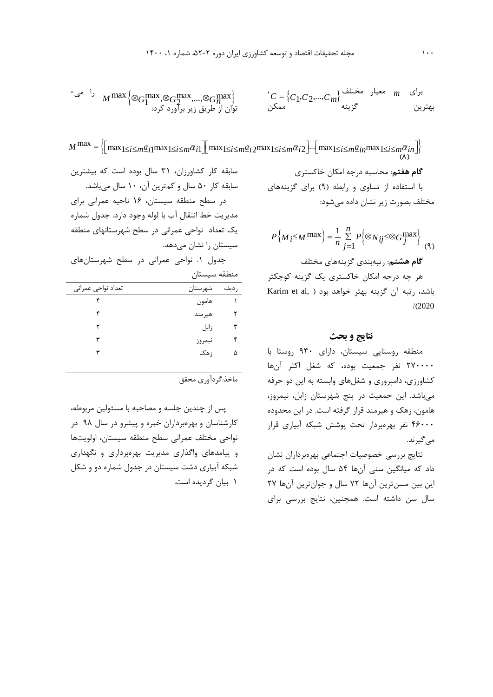rرای  m معار مختلف (  
$$
M \max \Big\{ \otimes_{G_1} \max, \otimes_{G_2} \max, \dots, \otimes_{G_n} \max \Big\}
$$
   
$$
C = \Big\{ C_1, C_2, \dots, C_m \Big\}
$$
   
$$
C = \Big\{ C_1, C_2, \dots, C_m \Big\}
$$
   
$$
C = \Big\{ C_1, C_2, \dots, C_m \Big\}
$$
   
$$
C = \Big\{ C_1, C_2, \dots, C_m \Big\}
$$

$$
\left.\begin{array}{cc} \mathbb{C}^{\mathfrak{S}} & M\max\left\{\otimes_{G_1}^{\max},\otimes_{G_2}^{\max},...,\otimes_{G_n}^{\max}\right\} \\ \text{and} & \text{if } \mathbb{C}^{\mathfrak{S}} \text{ is } \mathbb{C}^{\mathfrak{S}} \text{ is } \mathbb{C}^{\mathfrak{S}} \text{ is } \mathbb{C}^{\mathfrak{S}} \text{ is } \mathbb{C}^{\mathfrak{S}} \text{ is } \mathbb{C}^{\mathfrak{S}} \text{ is } \mathbb{C}^{\mathfrak{S}} \text{ is } \mathbb{C}^{\mathfrak{S}} \text{ is } \mathbb{C}^{\mathfrak{S}} \text{ is } \mathbb{C}^{\mathfrak{S}} \text{ is } \mathbb{C}^{\mathfrak{S}} \text{ is } \mathbb{C}^{\mathfrak{S}} \text{ is } \mathbb{C}^{\mathfrak{S}} \text{ is } \mathbb{C}^{\mathfrak{S}} \text{ is } \mathbb{C}^{\mathfrak{S}} \text{ is } \mathbb{C}^{\mathfrak{S}} \text{ is } \mathbb{C}^{\mathfrak{S}} \text{ is } \mathbb{C}^{\mathfrak{S}} \text{ is } \mathbb{C}^{\mathfrak{S}} \text{ is } \mathbb{C}^{\mathfrak{S}} \text{ is } \mathbb{C}^{\mathfrak{S}} \text{ is } \mathbb{C}^{\mathfrak{S}} \text{ is } \mathbb{C}^{\mathfrak{S}} \text{ is } \mathbb{C}^{\mathfrak{S}} \text{ is } \mathbb{C}^{\mathfrak{S}} \text{ is } \mathbb{C}^{\mathfrak{S}} \text{ is } \mathbb{C}^{\mathfrak{S}} \text{ is } \mathbb{C}^{\mathfrak{S}} \text{ is } \mathbb{C}^{\mathfrak{S}} \text{ is } \mathbb{C}^{\mathfrak{S}} \text{ is } \mathbb{C}^{\mathfrak{S}} \text{ is } \mathbb{C}^{\mathfrak{S}} \text{ is } \mathbb{C}^{\mathfrak{S}} \text{ is } \mathbb{C}^{\mathfrak{S}} \text{ is } \mathbb{C}^{\mathfrak{S}} \text{ is } \mathbb{C}^{\mathfrak{S
$$

بهترین  
\n
$$
M^{max} = \Biggl\{ \Biggl[ \max_{1 \le i \le m} \frac{a_{i1}}{2} \max_{1 \le i \le m} \frac{a_{i2}}{2} \prod_{j=1}^{m} \max_{1 \le i \le m} \frac{a_{i2}}{2} \cdot \frac{1}{2} \cdot \frac{1}{2} \cdot \frac{1}{2} \cdot \frac{1}{2} \cdot \frac{1}{2} \cdot \frac{1}{2} \cdot \frac{1}{2} \cdot \frac{1}{2} \cdot \frac{1}{2} \cdot \frac{1}{2} \cdot \frac{1}{2} \cdot \frac{1}{2} \cdot \frac{1}{2} \cdot \frac{1}{2} \cdot \frac{1}{2} \cdot \frac{1}{2} \cdot \frac{1}{2} \cdot \frac{1}{2} \cdot \frac{1}{2} \cdot \frac{1}{2} \cdot \frac{1}{2} \cdot \frac{1}{2} \cdot \frac{1}{2} \cdot \frac{1}{2} \cdot \frac{1}{2} \cdot \frac{1}{2} \cdot \frac{1}{2} \cdot \frac{1}{2} \cdot \frac{1}{2} \cdot \frac{1}{2} \cdot \frac{1}{2} \cdot \frac{1}{2} \cdot \frac{1}{2} \cdot \frac{1}{2} \cdot \frac{1}{2} \cdot \frac{1}{2} \cdot \frac{1}{2} \cdot \frac{1}{2} \cdot \frac{1}{2} \cdot \frac{1}{2} \cdot \frac{1}{2} \cdot \frac{1}{2} \cdot \frac{1}{2} \cdot \frac{1}{2} \cdot \frac{1}{2} \cdot \frac{1}{2} \cdot \frac{1}{2} \cdot \frac{1}{2} \cdot \frac{1}{2} \cdot \frac{1}{2} \cdot \frac{1}{2} \cdot \frac{1}{2} \cdot \frac{1}{2} \cdot \frac{1}{2} \cdot \frac{1}{2} \cdot \frac{1}{2} \cdot \frac{1}{2} \cdot \frac{1}{2} \cdot \frac{1}{2} \cdot \frac{1}{2} \cdot \frac{1}{2} \cdot \frac{1}{2} \cdot \frac{1}{2} \cdot \frac{1}{2} \cdot \frac{1}{2} \cdot \frac{1}{2} \cdot \frac{1}{2} \cdot \frac{1}{2} \cdot \frac{1}{2} \cdot \frac{1}{2} \cdot \frac{1}{2} \cdot \frac{1}{2} \cdot \frac{1}{2} \cdot \frac
$$

مختلف بصورت زير نشان داده میشود:

$$
P\left\{M_{i} \leq M \max\right\} = \frac{1}{n} \sum_{j=1}^{n} P\left\{\otimes N_{ij} \leq \otimes G_{j}^{\max}\right\}
$$
 (१)

هر چه درجه امکان خاکستري يک گزينه کوچکتر باشد، رتبه آن گزينه بهتر خواهد بود ( Karim et al,  $/(2020)$ 

### **نتايج و بحث**

منطقه روستايی سيستان، داراي 930 روستا با 270000 نفر جمعيت بوده، که شغل اکثر آنها کشاورزي، دامپروري و شغلهاي وابسته به اين دو حرفه میباشد. اين جمعيت در پنج شهرستان زابل، نيمروز، هامون، زهک و هيرمند قرار گرفته است. در اين محدوده 46000 نفر بهرهبردار تحت پوشش شبکه آبياري قرار مے گيرند.

نتايج بررسی خصوصيات اجتماعی بهرهبرداران نشان داد که ميانگين سنی آنها 54 سال بوده است که در اين بين مسنترين آنها 72 سال و جوانترين آنها 27 سال سن داشته است. همچنين، نتايج بررسی براي

سابقه کار 50 سال و کمترين آن، 10 سال میباشد. در سطح منطقه سيستان، 16 ناحيه عمرانی براي مديريت خط انتقال آب با لوله وجود دارد. جدول شماره يک تعداد نواحی عمرانی در سطح شهرستانهاي منطقه سيستان را نشان میدهد.

جدول .1 نواحی عمرانی در سطح شهرستانهاي منطقه سيستان

| شهرستان | رديف |   |
|---------|------|---|
| هامون   |      |   |
| هيرمند  |      |   |
| زابل    |      | ٣ |
| نيمروز  |      |   |
| ; هک    |      | ۵ |
|         |      |   |

ماخذ:گردآوري محقق

پس از چندين جلسه و مصاحبه با مسئولين مربوطه، کارشناسان و بهرهبرداران خبره و پيشرو در سال 98 در نواحی مختلف عمرانی سطح منطقه سيستان، اولويتها و پيامدهاي واگذاري مديريت بهرهبرداري و نگهداري شبکه آبياري دشت سيستان در جدول شماره دو و شکل 1 بيان گرديده است.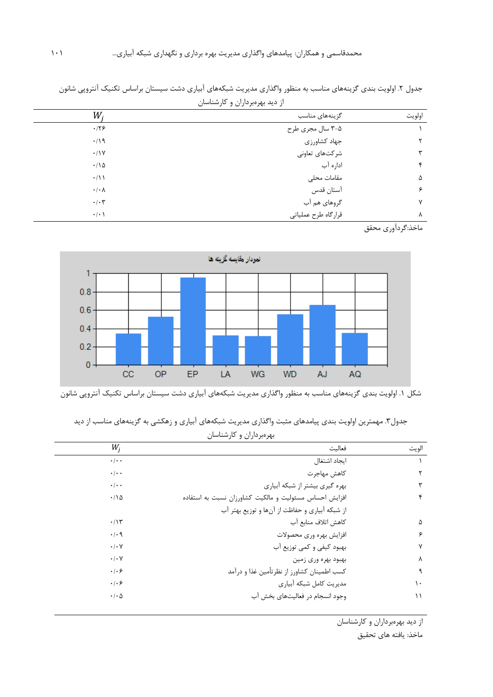|        | الراحية بهرجرحان والمرتسمين |                      |
|--------|-----------------------------|----------------------|
| اولويت | گزینههای مناسب              | $W_i$                |
|        | ۰۵–۳ سال مجری طرح           | .179                 |
|        | جهاد كشاورزي                | $\cdot/\gamma$       |
|        | شرکتهای تعاونی              | .11Y                 |
|        | اداره آب                    | .110                 |
| ۵      | مقامات محلى                 | $\cdot/11$           |
| ç      | آستان قدس                   | $\cdot/\cdot \wedge$ |
| v      | گروهای هم آب                | $\cdot/\cdot7$       |
| Λ      | قرارگاه طرح عملياتي         | $\cdot/\cdot$        |

جدول ۲. اولويت بندي گزينههاي مناسب به منظور واگذاري مديريت شبکههاي آبياري دشت سيستان براساس تکنيک آنتروپي شانون از ديد بهرهبرداران و کارشناسان

ماخذ:گردآوري محقق



شکل .1 اولويت بندي گزينههاي مناسب به منظور واگذاري مديريت شبکههاي آبياري دشت سيستان براساس تکنيک آنتروپی شانون

| جدول۳. مهمترین اولویت بندی پیامدهای مثبت واگذاری مدیریت شبکههای آبیاری و زهکشی به گزینههای مناسب از دید |
|---------------------------------------------------------------------------------------------------------|
| بهرهبرداران و کارشناسان                                                                                 |

| $W_i$                      | فعالىت                                                 | الويت |
|----------------------------|--------------------------------------------------------|-------|
| $\cdot$ / $\cdot$ $\cdot$  | ايجاد اشتغال                                           |       |
| $\cdot$ / $\cdot$ $\cdot$  | كاهش مهاجرت                                            |       |
| $\cdot$ / $\cdot$ $\cdot$  | بهره گیری بیشتر از شبکه آبیاری                         |       |
| .78                        | افزایش احساس مسئولیت و مالکیت کشاورزان نسبت به استفاده |       |
|                            | از شبکه آبیاری و حفاظت از آنها و توزیع بهتر آب         |       |
| .115                       | كاهش اتلاف منابع آب                                    | ۵     |
| $\cdot$ / $\cdot$ 9        | افزايش بهره ورى محصولات                                | ۶     |
| $\cdot$ / $\cdot$ $\vee$   | بهبود کیفی و کمی توزیع آب                              | ٧     |
| $\cdot/\cdot$ Y            | بهبود بهره وري زمين                                    | ٨     |
| .   . 9                    | کسب اطمینان کشاورز از نظرتأمین غذا و درآمد             | ٩     |
| .   . 9                    | مديريت كامل شبكه أبياري                                | ١.    |
| $\cdot$ / $\cdot$ $\Delta$ | وجود انسجام در فعالیتهای بخش آب                        | ۱۱    |

از ديد بهرهبرداران و کارشناسان

ماخذ: يافته هاي تحقيق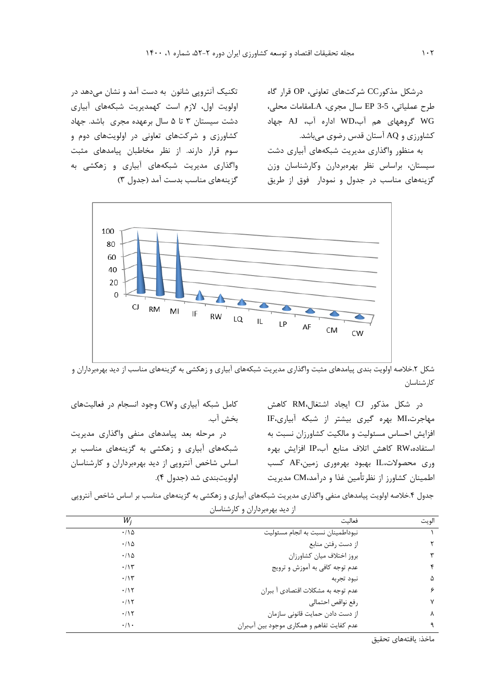درشکل مذکورCC شرکتهاي تعاونی، OP قرار گاه طرح عملياتی، 3-5 EP سال مجري، LAمقامات محلی، WG گروههاي هم آب،WD اداره آب، AJ جهاد کشاورزي و AQ آستان قدس رضوي میباشد.

به منظور واگذاري مديريت شبکههاي آبياري دشت سيستان، براساس نظر بهرهبردارن وکارشناسان وزن گزينههاي مناسب در جدول و نمودار فوق از طريق

تکنيک آنتروپی شانون به دست آمد و نشان میدهد در اولويت اول، الزم است کهمديريت شبکههاي آبياري دشت سيستان 3 تا 5 سال برعهده مجري باشد. جهاد کشاورزي و شرکتهاي تعاونی در اولويتهاي دوم و سوم قرار دارند. از نظر مخاطبان پيامدهاي مثبت واگذاري مديريت شبکههاي آبياري و زهکشی به گزينههاي مناسب بدست آمد (جدول ٣)



شکل ۲.خلاصه اولويت بندي پيامدهاي مثبت واگذاري مديريت شبکههاي آبياري و زهکشي به گزينههاي مناسب از ديد بهرهبرداران و کارشناسان

در شکل مذکور CJ ايجاد اشتغال،RM کاهش مهاجرت،MI بهره گيري بيشتر از شبکه آبياري،IF افزايش احساس مسئوليت و مالکيت کشاورزان نسبت به استفاده،RW کاهش اتالف منابع آب،IP افزايش بهره وري محصوالت،IL بهبود بهرهوري زمين،AF کسب اطمينان کشاورز از نظرتأمين غذا و درآمد،CM مديريت

کامل شبکه آبياري وCW وجود انسجام در فعاليتهاي بخش آب.

در مرحله بعد پيامدهاي منفی واگذاري مديريت شبکههاي آبياري و زهکشی به گزينههاي مناسب بر اساس شاخص آنتروپی از ديد بهرهبرداران و کارشناسان اولويتبندي شد )جدول 4(.

جدول ۴.خلاصه اولويت پيامدهاي منفي واگذاري مديريت شبکههاي آبياري و زهکشي به گزينههاي مناسب بر اساس شاخص آنتروپي از ديد بهرهبرداران و کارشناسان

| W,             | فعالىت                                    | الويت |
|----------------|-------------------------------------------|-------|
| .110           | نبوداطمينان نسبت به انجام مسئوليت         |       |
| .110           | از دست رفتن منابع                         | ٢     |
| $\cdot$ 10     | بروز اختلاف ميان كشاورزان                 | ٣     |
| $\cdot$ /1٣    | عدم توجه كافي به آموزش و ترويج            | ۴     |
| $\cdot/\gamma$ | نبود تجربه                                | ۵     |
| .115           | عدم توجه به مشكلات اقتصادي آ ببران        | ۶     |
| .115           | رفع نواقص احتمالي                         | γ     |
| .115           | از دست دادن حمایت قانونی سازمان           | ٨     |
| $\cdot/\cdot$  | عدم کفایت تفاهم و همکاری موجود بین آببران | ٩     |

ماخذ: يافتههاي تحقيق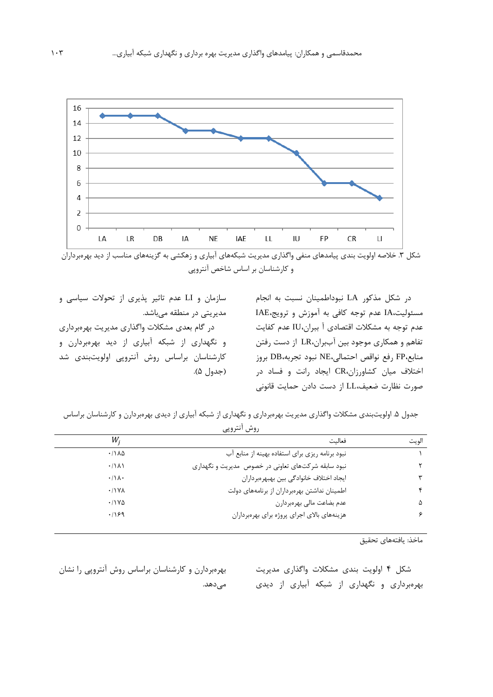

شکل ۳. خلاصه اولويت بندي پيامدهاي منفي واگذاري مديريت شبکههاي آبياري و زهکشي به گزينههاي مناسب از ديد بهرهبرداران و کارشناسان بر اساس شاخص آنتروپی

در شکل مذکور LA نبوداطمينان نسبت به انجام مسئوليت،IA عدم توجه کافی به آموزش و ترويج،IAE عدم توجه به مشکالت اقتصادي آ ببران،IU عدم کفايت تفاهم و همکاري موجود بين آببران،LR از دست رفتن منابع،FP رفع نواقص احتمالی،NE نبود تجربه،DB بروز اختالف ميان کشاورزان،CR ايجاد رانت و فساد در صورت نظارت ضعيف،LL از دست دادن حمايت قانونی

سازمان و LI عدم تاثير پذيري از تحوالت سياسی و مديريتی در منطقه میباشد. در گام بعدي مشکالت واگذاري مديريت بهرهبرداري و نگهداري از شبکه آبياري از ديد بهرهبردارن و کارشناسان براساس روش آنتروپی اولويتبندي شد (جدول ۵).

جدول ۵. اولويتبندي مشکلات واگذاري مديريت بهرهبرداري و نگهداري از شبکه آبياري از ديدي بهرهبردارن و کارشناسان براساس

|       | روش انتروپي                                        |                               |
|-------|----------------------------------------------------|-------------------------------|
| الويت | فعالىت                                             | W,                            |
|       | نبود برنامه ریزی برای استفاده بهینه از منابع آب    | $\cdot$ /1 $\lambda$ $\Delta$ |
| ۲     | نبود سابقه شرکتهای تعاونی در خصوص مدیریت و نگهداری | $\cdot$ / $\lambda$           |
| ٣     | ايجاد اختلاف خانوادگي بين بهبهرهبرداران            | $\cdot/\Lambda$ .             |
| ۴     | اطمینان نداشتن بهرهبرداران از برنامههای دولت       | $\cdot$ /\YA                  |
| ۵     | عدم بضاعت مالي بهرهبردارن                          | .11Y <sub>0</sub>             |
| ۶     | هزینههای بالای اجرای پروژه برای بهرهبرداران        | .199                          |
|       |                                                    |                               |

ماخذ: يافتههاي تحقيق

شکل 4 اولويت بندي مشکالت واگذاري مديريت بهرهبرداري و نگهداري از شبکه آبياري از ديدي

بهرهبردارن و کارشناسان براساس روش آنتروپی را نشان می دهد.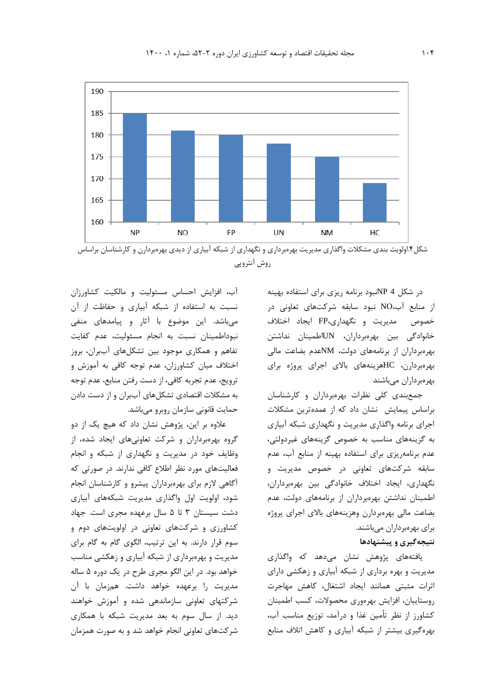

روش آنتروپی

در شکل 4 NPنبود برنامه ريزي براي استفاده بهينه از منابع آب،NO نبود سابقه شرکتهاي تعاونی در خصوص مديريت و نگهداري،FP ايجاد اختالف خانوادگی بين بهرهبرداران، UNاطمينان نداشتن بهرهبرداران از برنامههاي دولت، NMعدم بضاعت مالی بهرهبردارن، HCهزينههاي باالي اجراي پروژه براي بهرهبرداران میباشند

جمعبندي کلی نظرات بهرهبرداران و کارشناسان براساس پيمايش نشان داد که از عمدهترين مشکالت اجراي برنامه واگذاري مديريت و نگهداري شبکه آبياري به گزينههاي مناسب به خصوص گزينههاي غيردولتی، عدم برنامهريزي براي استفاده بهينه از منابع آب، عدم سابقه شرکتهاي تعاونی در خصوص مديريت و نگهداري، ايجاد اختالف خانوادگی بين بهرهبرداران، اطمينان نداشتن بهرهبرداران از برنامههاي دولت، عدم بضاعت مالی بهرهبردارن وهزينههاي باالي اجراي پروژه براي بهرهبرداران میباشند.

# **نتيجهگيري و پيشنهادها**

يافتههاي پژوهش نشان میدهد که واگذاري مديريت و بهره برداري از شبکه آبياري و زهکشی داراي اثرات مثبتی همانند ايجاد اشتغال، کاهش مهاجرت روستاييان، افزايش بهرهوري محصوالت، کسب اطمينان کشاورز از نظر تأمين غذا و درآمد، توزيع مناسب آب، بهرهگيري بيشتر از شبکه آبياري و کاهش اتالف منابع

آب، افزايش احساس مسئوليت و مالکيت کشاورزان نسبت به استفاده از شبکه آبياري و حفاظت از آن میباشد. اين موضوع با آثار و پيامدهاي منفی نبوداطمينان نسبت به انجام مسئوليت، عدم کفايت تفاهم و همکاري موجود بين تشکلهاي آببران، بروز اختالف ميان کشاورزان، عدم توجه کافی به آموزش و ترويج، عدم تجربه کافی، از دست رفتن منابع، عدم توجه به مشکالت اقتصادي تشکلهاي آببران و از دست دادن حمايت قانونی سازمان روبرو میباشد.

عالوه بر اين، پژوهش نشان داد که هيچ يک از دو گروه بهرهبرداران و شرکت تعاونیهاي ايجاد شده، از وظايف خود در مديريت و نگهداري از شبکه و انجام فعاليتهاي مورد نظر اطالع کافی ندارند. در صورتی که آگاهی الزم براي بهرهبرداران پيشرو و کارشناسان انجام شود، اولويت اول واگذاري مديريت شبکههاي آبياري دشت سيستان 3 تا 5 سال برعهده مجري است. جهاد کشاورزي و شرکتهاي تعاونی در اولويتهاي دوم و سوم قرار دارند. به اين ترتيب، الگوي گام به گام براي مديريت و بهرهبرداري از شبکه آبياري و زهکشی مناسب خواهد بود. در اين الگو مجري طرح در يک دوره 5 ساله مديريت را برعهده خواهد داشت. همزمان با آن شرکتهاي تعاونی سازماندهی شده و آموزش خواهند ديد. از سال سوم به بعد مديريت شبکه با همکاري شرکتهاي تعاونی انجام خواهد شد و به صورت همزمان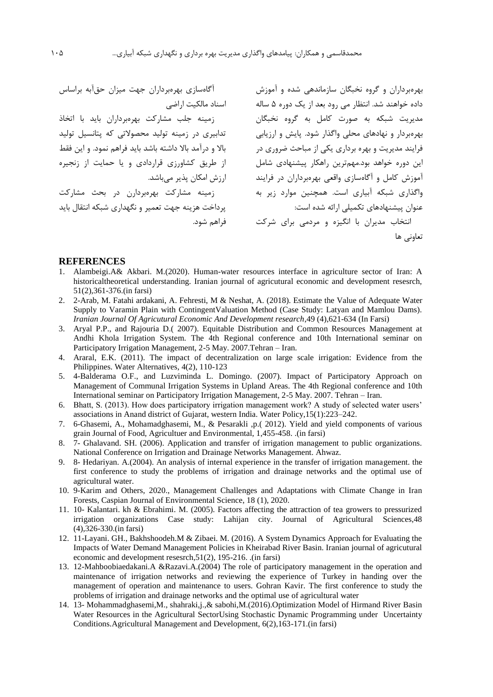بهرهبرداران و گروه نخبگان سازماندهی شده و آموزش داده خواهند شد. انتظار می رود بعد از يک دوره 5 ساله مديريت شبکه به صورت کامل به گروه نخبگان بهرهبردار و نهادهاي محلی واگذار شود. پايش و ارزيابی فرايند مديريت و بهره برداري يکی از مباحث ضروري در اين دوره خواهد بود.مهمترين راهکار پيشنهادي شامل آموزش کامل و آگاهسازي واقعی بهرهبرداران در فرايند واگذاري شبکه آبياري است. همچنين موارد زير به عنوان پيشنهادهاي تکميلی ارائه شده است: انتخاب مديران با انگيزه و مردمی براي شرکت تعاونی ها آگاهسازي بهرهبرداران جهت ميزان حقآبه براساس اسناد مالکيت اراضی زمينه جلب مشارکت بهرهبرداران بايد با اتخاذ تدابيري در زمينه توليد محصوالتی که پتانسيل توليد باال و درآمد باال داشته باشد بايد فراهم نمود. و اين فقط از طريق کشاورزي قراردادي و يا حمايت از زنجيره ارزش امکان پذير میباشد. زمينه مشارکت بهرهبردارن در بحث مشارکت پرداخت هزينه جهت تعمير و نگهداري شبکه انتقال بايد فراهم شود.

#### **REFERENCES**

- 1. Alambeigi.A& Akbari. M.(2020). Human-water resources interface in agriculture sector of Iran: A historicaltheoretical understanding. Iranian journal of agricutural economic and development resesrch, 51(2),361-376.(in farsi)
- 2. 2-Arab, M. Fatahi ardakani, A. Fehresti, M & Neshat, A. (2018). Estimate the Value of Adequate Water Supply to Varamin Plain with ContingentValuation Method (Case Study: Latyan and Mamlou Dams). *Iranian Journal Of Agricutural Economic And Development research*,49 (4),621-634 (In Farsi)
- 3. Aryal P.P., and Rajouria D.( 2007). Equitable Distribution and Common Resources Management at Andhi Khola Irrigation System. The 4th Regional conference and 10th International seminar on Participatory Irrigation Management, 2-5 May. 2007.Tehran – Iran.
- 4. Araral, E.K. (2011). The impact of decentralization on large scale irrigation: Evidence from the Philippines. Water Alternatives, 4(2), 110-123
- 5. 4-Balderama O.F., and Luzviminda L. Domingo. (2007). Impact of Participatory Approach on Management of Communal Irrigation Systems in Upland Areas. The 4th Regional conference and 10th International seminar on Participatory Irrigation Management, 2-5 May. 2007. Tehran – Iran.
- 6. Bhatt, S. (2013). How does participatory irrigation management work? A study of selected water users' associations in Anand district of Gujarat, western India. Water Policy,15(1):223–242.
- 7. 6-Ghasemi, A., Mohamadghasemi, M., & Pesarakli ,p.( 2012). Yield and yield components of various grain Journal of Food, Agricultuer and Environmental, 1,455-458. .(in farsi)
- 8. 7- Ghalavand. SH. (2006). Application and transfer of irrigation management to public organizations. National Conference on Irrigation and Drainage Networks Management. Ahwaz.
- 9. 8- Hedariyan. A.(2004). An analysis of internal experience in the transfer of irrigation management. the first conference to study the problems of irrigation and drainage networks and the optimal use of agricultural water.
- 10. 9-Karim and Others, 2020., Management Challenges and Adaptations with Climate Change in Iran Forests, Caspian Journal of Environmental Science, 18 (1), 2020.
- 11. 10- Kalantari. kh & Ebrahimi. M. (2005). Factors affecting the attraction of tea growers to pressurized irrigation organizations Case study: Lahijan city. Journal of Agricultural Sciences,48 (4),326-330.(in farsi)
- 12. 11-Layani. GH., Bakhshoodeh.M & Zibaei. M. (2016). A System Dynamics Approach for Evaluating the Impacts of Water Demand Management Policies in Kheirabad River Basin. Iranian journal of agricutural economic and development resesrch,51(2), 195-216. .(in farsi)
- 13. 12-Mahboobiaedakani.A &Razavi.A.(2004) The role of participatory management in the operation and maintenance of irrigation networks and reviewing the experience of Turkey in handing over the management of operation and maintenance to users. Gohran Kavir. The first conference to study the problems of irrigation and drainage networks and the optimal use of agricultural water
- 14. 13- Mohammadghasemi,M., shahraki,j.,& sabohi,M.(2016).Optimization Model of Hirmand River Basin Water Resources in the Agricultural SectorUsing Stochastic Dynamic Programming under Uncertainty Conditions.Agricultural Management and Development, 6(2),163-171.(in farsi)